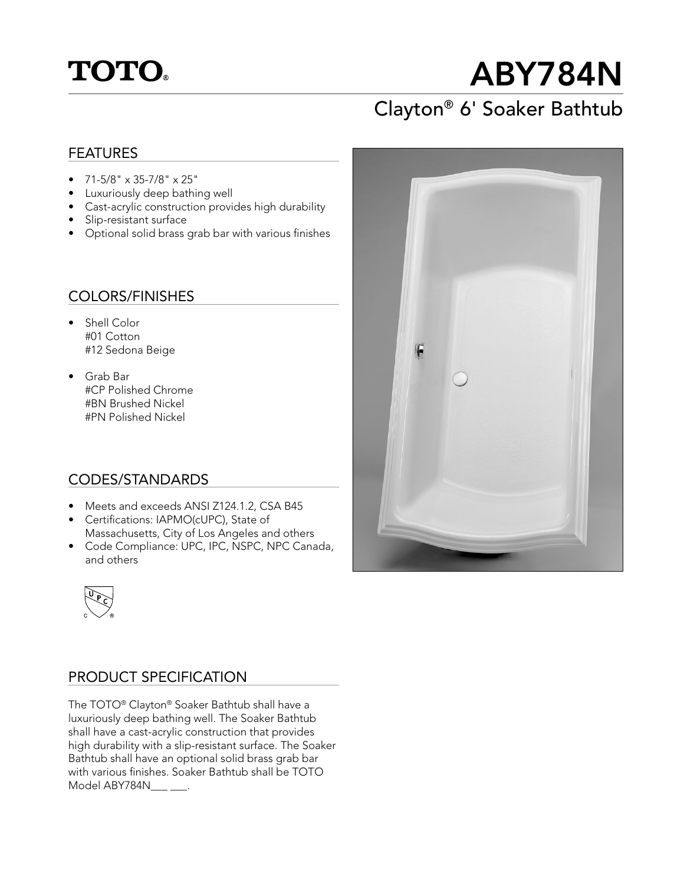## **TOTO**

# ABY784N

## Clayton® 6' Soaker Bathtub

#### FEATURES

- $71-5/8$ " x 35-7/8" x 25"
- Luxuriously deep bathing well
- Cast-acrylic construction provides high durability
- Slip-resistant surface
- Optional solid brass grab bar with various finishes

#### COLORS/FINISHES

- Shell Color #01 Cotton #12 Sedona Beige
- Grab Bar #CP Polished Chrome #BN Brushed Nickel #PN Polished Nickel

#### CODES/STANDARDS

- Meets and exceeds ANSI Z124.1.2, CSA B45
- Certifications: IAPMO(cUPC), State of Massachusetts, City of Los Angeles and others
- Code Compliance: UPC, IPC, NSPC, NPC Canada, and others



#### PRODUCT SPECIFICATION

The TOTO® Clayton® Soaker Bathtub shall have a luxuriously deep bathing well. The Soaker Bathtub shall have a cast-acrylic construction that provides high durability with a slip-resistant surface. The Soaker Bathtub shall have an optional solid brass grab bar with various finishes. Soaker Bathtub shall be TOTO Model ABY784N .